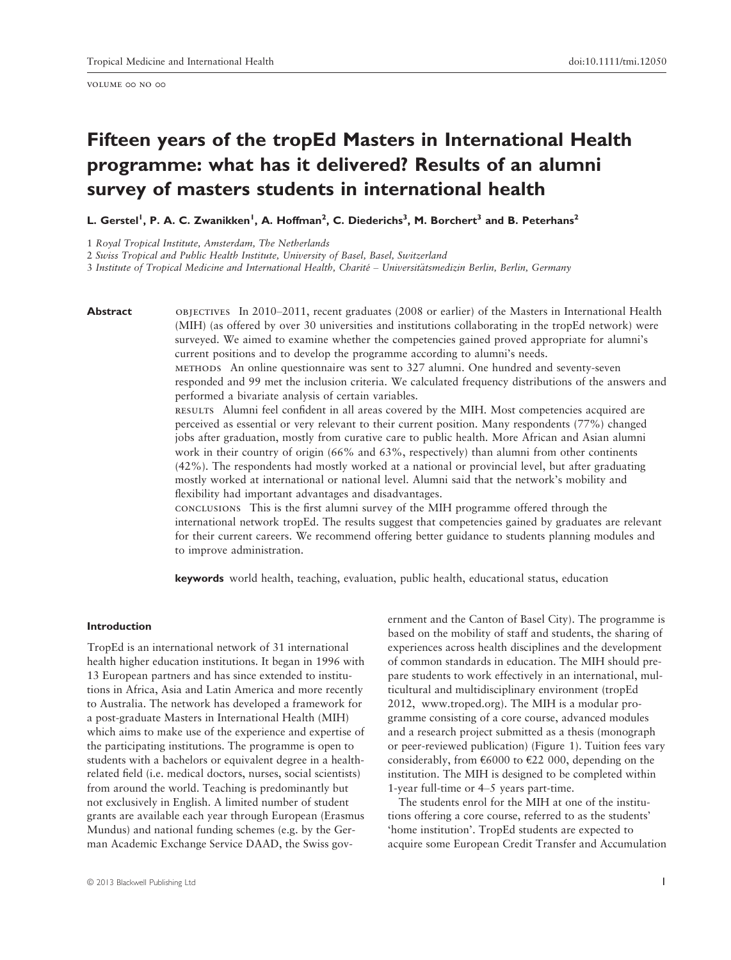volume 00 no 00

# Fifteen years of the tropEd Masters in International Health programme: what has it delivered? Results of an alumni survey of masters students in international health

L. Gerstel<sup>1</sup>, P. A. C. Zwanikken<sup>1</sup>, A. Hoffman<sup>2</sup>, C. Diederichs<sup>3</sup>, M. Borchert<sup>3</sup> and B. Peterhans<sup>2</sup>

1 Royal Tropical Institute, Amsterdam, The Netherlands

2 Swiss Tropical and Public Health Institute, University of Basel, Basel, Switzerland

3 Institute of Tropical Medicine and International Health, Charité – Universitätsmedizin Berlin, Berlin, Germany

Abstract objectives In 2010–2011, recent graduates (2008 or earlier) of the Masters in International Health (MIH) (as offered by over 30 universities and institutions collaborating in the tropEd network) were surveyed. We aimed to examine whether the competencies gained proved appropriate for alumni's current positions and to develop the programme according to alumni's needs. methods An online questionnaire was sent to 327 alumni. One hundred and seventy-seven responded and 99 met the inclusion criteria. We calculated frequency distributions of the answers and performed a bivariate analysis of certain variables. results Alumni feel confident in all areas covered by the MIH. Most competencies acquired are perceived as essential or very relevant to their current position. Many respondents (77%) changed jobs after graduation, mostly from curative care to public health. More African and Asian alumni work in their country of origin (66% and 63%, respectively) than alumni from other continents (42%). The respondents had mostly worked at a national or provincial level, but after graduating mostly worked at international or national level. Alumni said that the network's mobility and flexibility had important advantages and disadvantages.

> conclusions This is the first alumni survey of the MIH programme offered through the international network tropEd. The results suggest that competencies gained by graduates are relevant for their current careers. We recommend offering better guidance to students planning modules and to improve administration.

keywords world health, teaching, evaluation, public health, educational status, education

#### Introduction

TropEd is an international network of 31 international health higher education institutions. It began in 1996 with 13 European partners and has since extended to institutions in Africa, Asia and Latin America and more recently to Australia. The network has developed a framework for a post-graduate Masters in International Health (MIH) which aims to make use of the experience and expertise of the participating institutions. The programme is open to students with a bachelors or equivalent degree in a healthrelated field (i.e. medical doctors, nurses, social scientists) from around the world. Teaching is predominantly but not exclusively in English. A limited number of student grants are available each year through European (Erasmus Mundus) and national funding schemes (e.g. by the German Academic Exchange Service DAAD, the Swiss government and the Canton of Basel City). The programme is based on the mobility of staff and students, the sharing of experiences across health disciplines and the development of common standards in education. The MIH should prepare students to work effectively in an international, multicultural and multidisciplinary environment (tropEd 2012, www.troped.org). The MIH is a modular programme consisting of a core course, advanced modules and a research project submitted as a thesis (monograph or peer-reviewed publication) (Figure 1). Tuition fees vary considerably, from  $\epsilon$ 6000 to  $\epsilon$ 22 000, depending on the institution. The MIH is designed to be completed within 1-year full-time or 4–5 years part-time.

The students enrol for the MIH at one of the institutions offering a core course, referred to as the students' 'home institution'. TropEd students are expected to acquire some European Credit Transfer and Accumulation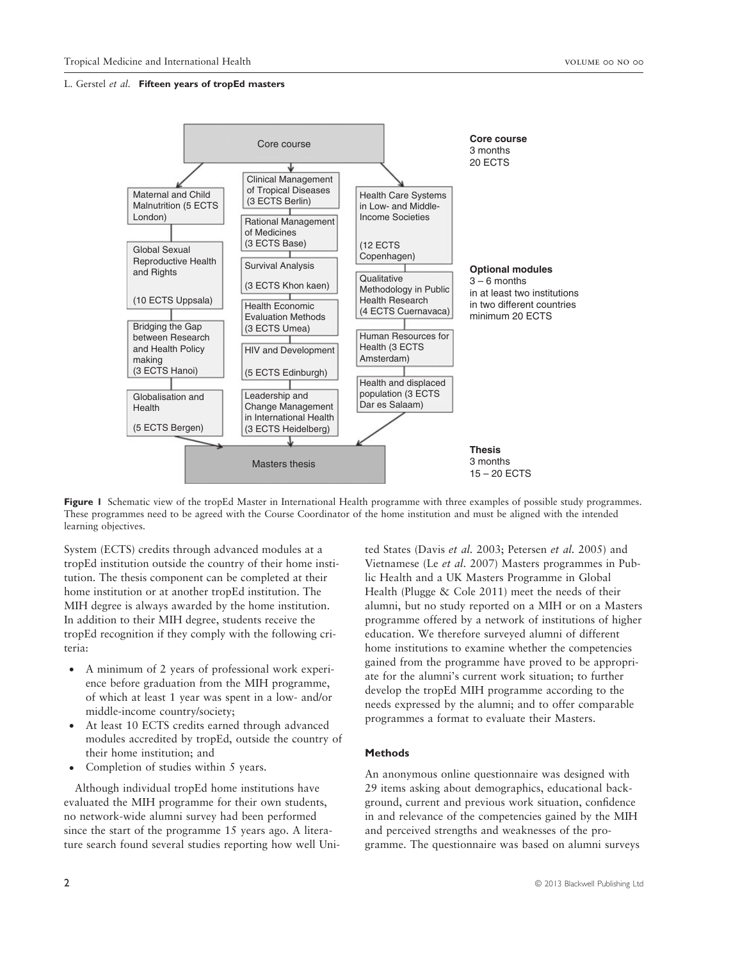

Figure 1 Schematic view of the tropEd Master in International Health programme with three examples of possible study programmes. These programmes need to be agreed with the Course Coordinator of the home institution and must be aligned with the intended learning objectives.

System (ECTS) credits through advanced modules at a tropEd institution outside the country of their home institution. The thesis component can be completed at their home institution or at another tropEd institution. The MIH degree is always awarded by the home institution. In addition to their MIH degree, students receive the tropEd recognition if they comply with the following criteria:

- A minimum of 2 years of professional work experience before graduation from the MIH programme, of which at least 1 year was spent in a low- and/or middle-income country/society;
- At least 10 ECTS credits earned through advanced modules accredited by tropEd, outside the country of their home institution; and
- Completion of studies within 5 years.

Although individual tropEd home institutions have evaluated the MIH programme for their own students, no network-wide alumni survey had been performed since the start of the programme 15 years ago. A literature search found several studies reporting how well Uni-

Vietnamese (Le et al. 2007) Masters programmes in Public Health and a UK Masters Programme in Global Health (Plugge & Cole 2011) meet the needs of their alumni, but no study reported on a MIH or on a Masters programme offered by a network of institutions of higher education. We therefore surveyed alumni of different home institutions to examine whether the competencies gained from the programme have proved to be appropriate for the alumni's current work situation; to further develop the tropEd MIH programme according to the needs expressed by the alumni; and to offer comparable programmes a format to evaluate their Masters.

ted States (Davis et al. 2003; Petersen et al. 2005) and

# Methods

An anonymous online questionnaire was designed with 29 items asking about demographics, educational background, current and previous work situation, confidence in and relevance of the competencies gained by the MIH and perceived strengths and weaknesses of the programme. The questionnaire was based on alumni surveys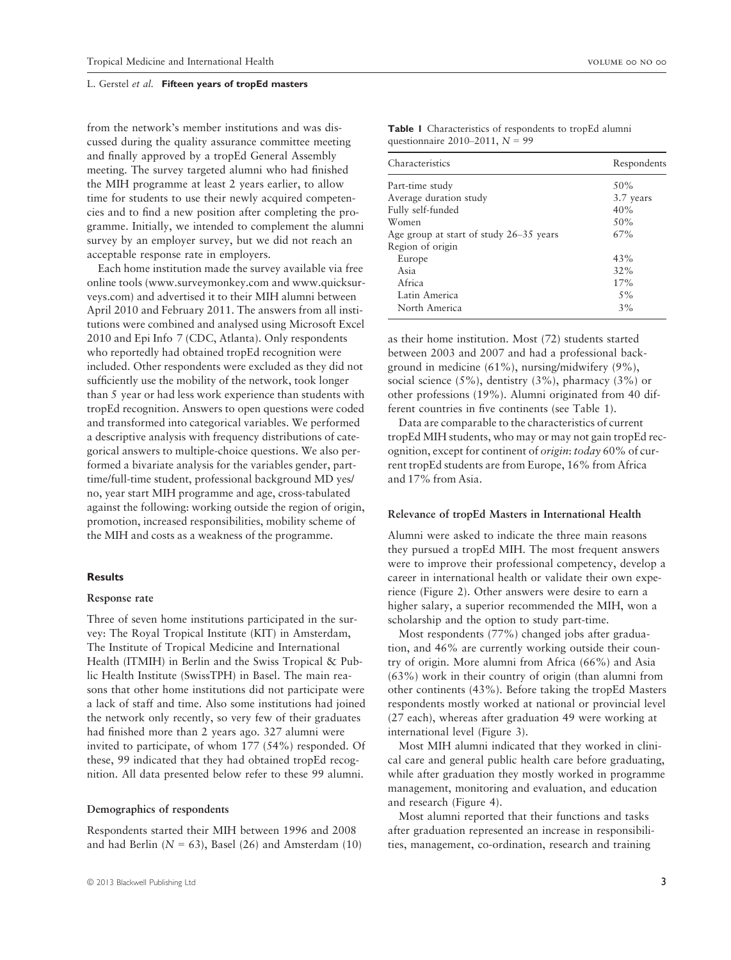from the network's member institutions and was discussed during the quality assurance committee meeting and finally approved by a tropEd General Assembly meeting. The survey targeted alumni who had finished the MIH programme at least 2 years earlier, to allow time for students to use their newly acquired competencies and to find a new position after completing the programme. Initially, we intended to complement the alumni survey by an employer survey, but we did not reach an acceptable response rate in employers.

Each home institution made the survey available via free online tools (www.surveymonkey.com and www.quicksurveys.com) and advertised it to their MIH alumni between April 2010 and February 2011. The answers from all institutions were combined and analysed using Microsoft Excel 2010 and Epi Info 7 (CDC, Atlanta). Only respondents who reportedly had obtained tropEd recognition were included. Other respondents were excluded as they did not sufficiently use the mobility of the network, took longer than 5 year or had less work experience than students with tropEd recognition. Answers to open questions were coded and transformed into categorical variables. We performed a descriptive analysis with frequency distributions of categorical answers to multiple-choice questions. We also performed a bivariate analysis for the variables gender, parttime/full-time student, professional background MD yes/ no, year start MIH programme and age, cross-tabulated against the following: working outside the region of origin, promotion, increased responsibilities, mobility scheme of the MIH and costs as a weakness of the programme.

#### Results

## Response rate

Three of seven home institutions participated in the survey: The Royal Tropical Institute (KIT) in Amsterdam, The Institute of Tropical Medicine and International Health (ITMIH) in Berlin and the Swiss Tropical & Public Health Institute (SwissTPH) in Basel. The main reasons that other home institutions did not participate were a lack of staff and time. Also some institutions had joined the network only recently, so very few of their graduates had finished more than 2 years ago. 327 alumni were invited to participate, of whom 177 (54%) responded. Of these, 99 indicated that they had obtained tropEd recognition. All data presented below refer to these 99 alumni.

#### Demographics of respondents

Respondents started their MIH between 1996 and 2008 and had Berlin  $(N = 63)$ , Basel (26) and Amsterdam (10)

| VOLUME 00 NO 00 |  |  |  |
|-----------------|--|--|--|
|-----------------|--|--|--|

| Characteristics                         | Respondents |
|-----------------------------------------|-------------|
| Part-time study                         | .50%        |
| Average duration study                  | 3.7 years   |
| Fully self-funded                       | 40%         |
| Women                                   | .50%        |
| Age group at start of study 26–35 years | 67%         |
| Region of origin                        |             |
| Europe                                  | 43%         |
| Asia                                    | 32%         |
| Africa                                  | 17%         |
| Latin America                           | .5%         |
| North America                           | 3%          |

Table 1 Characteristics of respondents to tropEd alumni

questionnaire 2010–2011,  $N = 99$ 

as their home institution. Most (72) students started between 2003 and 2007 and had a professional background in medicine (61%), nursing/midwifery (9%), social science (5%), dentistry (3%), pharmacy (3%) or other professions (19%). Alumni originated from 40 dif-

Data are comparable to the characteristics of current tropEd MIH students, who may or may not gain tropEd recognition, except for continent of origin: today 60% of current tropEd students are from Europe, 16% from Africa and 17% from Asia.

ferent countries in five continents (see Table 1).

## Relevance of tropEd Masters in International Health

Alumni were asked to indicate the three main reasons they pursued a tropEd MIH. The most frequent answers were to improve their professional competency, develop a career in international health or validate their own experience (Figure 2). Other answers were desire to earn a higher salary, a superior recommended the MIH, won a scholarship and the option to study part-time.

Most respondents (77%) changed jobs after graduation, and 46% are currently working outside their country of origin. More alumni from Africa (66%) and Asia (63%) work in their country of origin (than alumni from other continents (43%). Before taking the tropEd Masters respondents mostly worked at national or provincial level (27 each), whereas after graduation 49 were working at international level (Figure 3).

Most MIH alumni indicated that they worked in clinical care and general public health care before graduating, while after graduation they mostly worked in programme management, monitoring and evaluation, and education and research (Figure 4).

Most alumni reported that their functions and tasks after graduation represented an increase in responsibilities, management, co-ordination, research and training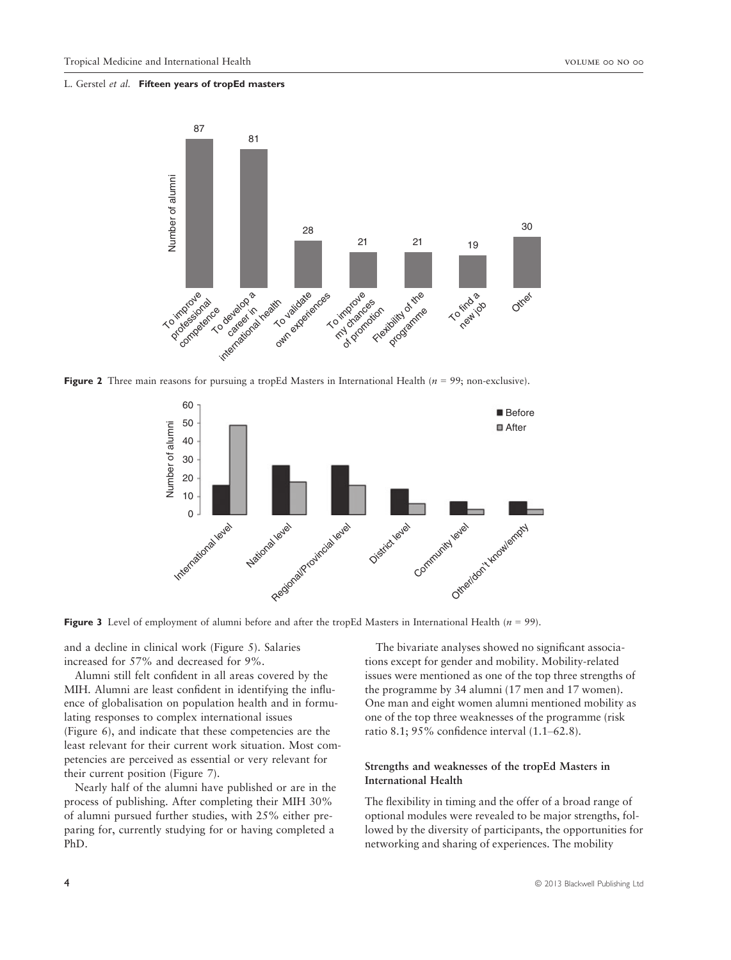

**Figure 2** Three main reasons for pursuing a tropEd Masters in International Health ( $n = 99$ ; non-exclusive).



Figure 3 Level of employment of alumni before and after the tropEd Masters in International Health ( $n = 99$ ).

and a decline in clinical work (Figure 5). Salaries increased for 57% and decreased for 9%.

Alumni still felt confident in all areas covered by the MIH. Alumni are least confident in identifying the influence of globalisation on population health and in formulating responses to complex international issues (Figure 6), and indicate that these competencies are the least relevant for their current work situation. Most competencies are perceived as essential or very relevant for their current position (Figure 7).

Nearly half of the alumni have published or are in the process of publishing. After completing their MIH 30% of alumni pursued further studies, with 25% either preparing for, currently studying for or having completed a PhD.

The bivariate analyses showed no significant associations except for gender and mobility. Mobility-related issues were mentioned as one of the top three strengths of the programme by 34 alumni (17 men and 17 women). One man and eight women alumni mentioned mobility as one of the top three weaknesses of the programme (risk ratio 8.1; 95% confidence interval (1.1–62.8).

# Strengths and weaknesses of the tropEd Masters in International Health

The flexibility in timing and the offer of a broad range of optional modules were revealed to be major strengths, followed by the diversity of participants, the opportunities for networking and sharing of experiences. The mobility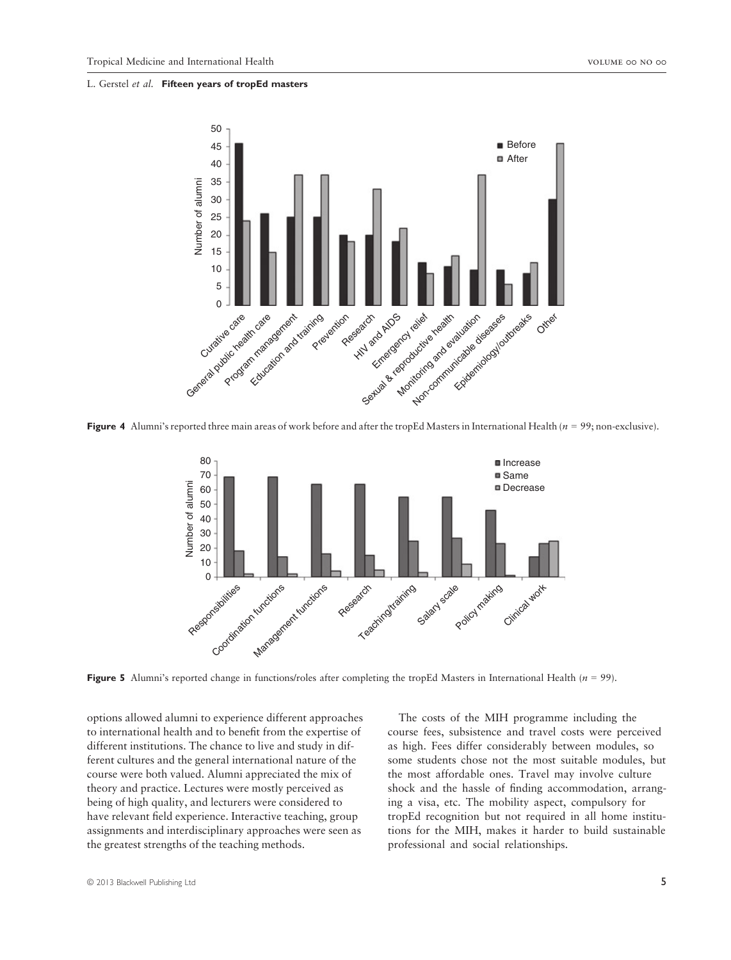

Figure 4 Alumni's reported three main areas of work before and after the tropEd Masters in International Health ( $n = 99$ ; non-exclusive).



**Figure 5** Alumni's reported change in functions/roles after completing the tropEd Masters in International Health ( $n = 99$ ).

options allowed alumni to experience different approaches to international health and to benefit from the expertise of different institutions. The chance to live and study in different cultures and the general international nature of the course were both valued. Alumni appreciated the mix of theory and practice. Lectures were mostly perceived as being of high quality, and lecturers were considered to have relevant field experience. Interactive teaching, group assignments and interdisciplinary approaches were seen as the greatest strengths of the teaching methods.

The costs of the MIH programme including the course fees, subsistence and travel costs were perceived as high. Fees differ considerably between modules, so some students chose not the most suitable modules, but the most affordable ones. Travel may involve culture shock and the hassle of finding accommodation, arranging a visa, etc. The mobility aspect, compulsory for tropEd recognition but not required in all home institutions for the MIH, makes it harder to build sustainable professional and social relationships.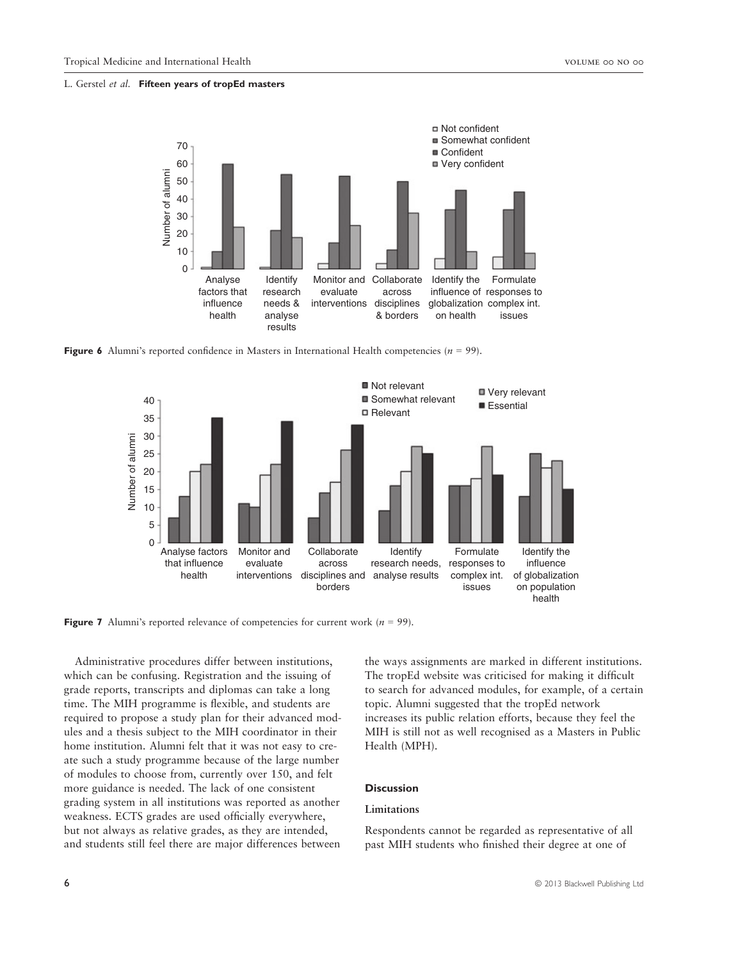

**Figure 6** Alumni's reported confidence in Masters in International Health competencies ( $n = 99$ ).



**Figure 7** Alumni's reported relevance of competencies for current work ( $n = 99$ ).

Administrative procedures differ between institutions, which can be confusing. Registration and the issuing of grade reports, transcripts and diplomas can take a long time. The MIH programme is flexible, and students are required to propose a study plan for their advanced modules and a thesis subject to the MIH coordinator in their home institution. Alumni felt that it was not easy to create such a study programme because of the large number of modules to choose from, currently over 150, and felt more guidance is needed. The lack of one consistent grading system in all institutions was reported as another weakness. ECTS grades are used officially everywhere, but not always as relative grades, as they are intended, and students still feel there are major differences between

the ways assignments are marked in different institutions. The tropEd website was criticised for making it difficult to search for advanced modules, for example, of a certain topic. Alumni suggested that the tropEd network increases its public relation efforts, because they feel the MIH is still not as well recognised as a Masters in Public Health (MPH).

# **Discussion**

# Limitations

Respondents cannot be regarded as representative of all past MIH students who finished their degree at one of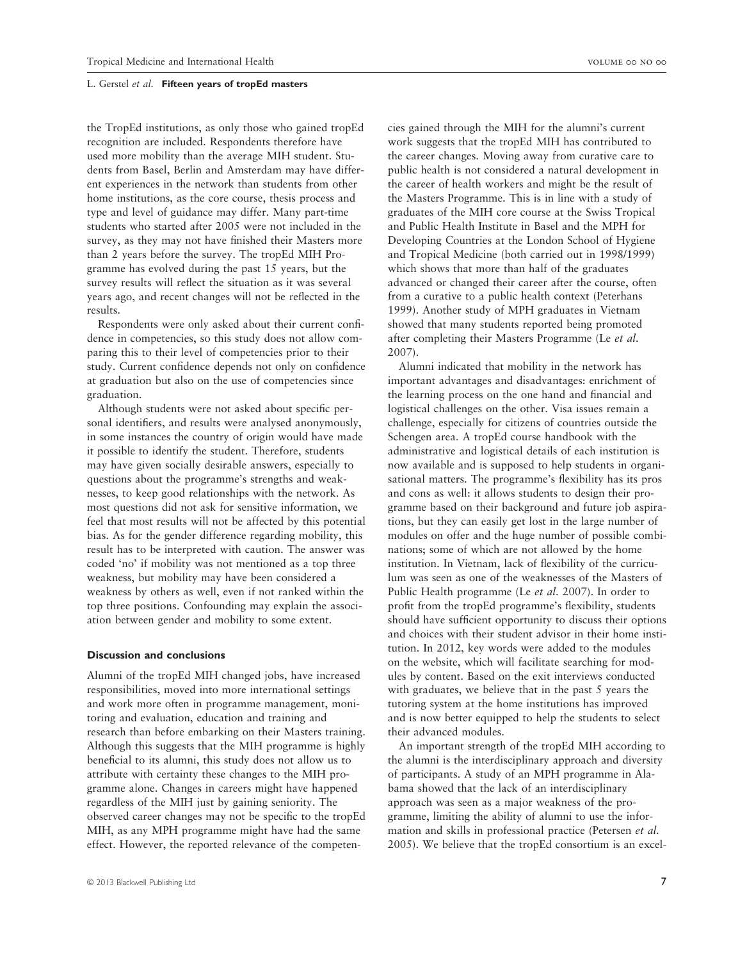the TropEd institutions, as only those who gained tropEd recognition are included. Respondents therefore have used more mobility than the average MIH student. Students from Basel, Berlin and Amsterdam may have different experiences in the network than students from other home institutions, as the core course, thesis process and type and level of guidance may differ. Many part-time students who started after 2005 were not included in the survey, as they may not have finished their Masters more than 2 years before the survey. The tropEd MIH Programme has evolved during the past 15 years, but the survey results will reflect the situation as it was several years ago, and recent changes will not be reflected in the results.

Respondents were only asked about their current confidence in competencies, so this study does not allow comparing this to their level of competencies prior to their study. Current confidence depends not only on confidence at graduation but also on the use of competencies since graduation.

Although students were not asked about specific personal identifiers, and results were analysed anonymously, in some instances the country of origin would have made it possible to identify the student. Therefore, students may have given socially desirable answers, especially to questions about the programme's strengths and weaknesses, to keep good relationships with the network. As most questions did not ask for sensitive information, we feel that most results will not be affected by this potential bias. As for the gender difference regarding mobility, this result has to be interpreted with caution. The answer was coded 'no' if mobility was not mentioned as a top three weakness, but mobility may have been considered a weakness by others as well, even if not ranked within the top three positions. Confounding may explain the association between gender and mobility to some extent.

## Discussion and conclusions

Alumni of the tropEd MIH changed jobs, have increased responsibilities, moved into more international settings and work more often in programme management, monitoring and evaluation, education and training and research than before embarking on their Masters training. Although this suggests that the MIH programme is highly beneficial to its alumni, this study does not allow us to attribute with certainty these changes to the MIH programme alone. Changes in careers might have happened regardless of the MIH just by gaining seniority. The observed career changes may not be specific to the tropEd MIH, as any MPH programme might have had the same effect. However, the reported relevance of the competen-

cies gained through the MIH for the alumni's current work suggests that the tropEd MIH has contributed to the career changes. Moving away from curative care to public health is not considered a natural development in the career of health workers and might be the result of the Masters Programme. This is in line with a study of graduates of the MIH core course at the Swiss Tropical and Public Health Institute in Basel and the MPH for Developing Countries at the London School of Hygiene and Tropical Medicine (both carried out in 1998/1999) which shows that more than half of the graduates advanced or changed their career after the course, often from a curative to a public health context (Peterhans 1999). Another study of MPH graduates in Vietnam showed that many students reported being promoted after completing their Masters Programme (Le et al. 2007).

Alumni indicated that mobility in the network has important advantages and disadvantages: enrichment of the learning process on the one hand and financial and logistical challenges on the other. Visa issues remain a challenge, especially for citizens of countries outside the Schengen area. A tropEd course handbook with the administrative and logistical details of each institution is now available and is supposed to help students in organisational matters. The programme's flexibility has its pros and cons as well: it allows students to design their programme based on their background and future job aspirations, but they can easily get lost in the large number of modules on offer and the huge number of possible combinations; some of which are not allowed by the home institution. In Vietnam, lack of flexibility of the curriculum was seen as one of the weaknesses of the Masters of Public Health programme (Le et al. 2007). In order to profit from the tropEd programme's flexibility, students should have sufficient opportunity to discuss their options and choices with their student advisor in their home institution. In 2012, key words were added to the modules on the website, which will facilitate searching for modules by content. Based on the exit interviews conducted with graduates, we believe that in the past 5 years the tutoring system at the home institutions has improved and is now better equipped to help the students to select their advanced modules.

An important strength of the tropEd MIH according to the alumni is the interdisciplinary approach and diversity of participants. A study of an MPH programme in Alabama showed that the lack of an interdisciplinary approach was seen as a major weakness of the programme, limiting the ability of alumni to use the information and skills in professional practice (Petersen et al. 2005). We believe that the tropEd consortium is an excel-